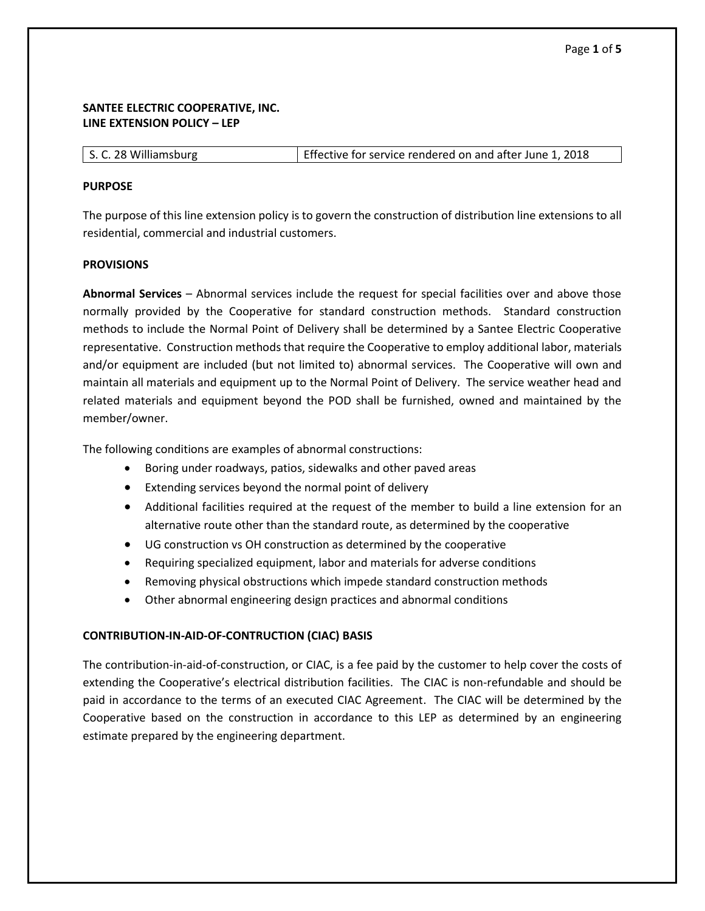## **SANTEE ELECTRIC COOPERATIVE, INC. LINE EXTENSION POLICY – LEP**

| S. C. 28 Williamsburg | Effective for service rendered on and after June 1, 2018 |
|-----------------------|----------------------------------------------------------|
|-----------------------|----------------------------------------------------------|

#### **PURPOSE**

The purpose of this line extension policy is to govern the construction of distribution line extensions to all residential, commercial and industrial customers.

#### **PROVISIONS**

**Abnormal Services** – Abnormal services include the request for special facilities over and above those normally provided by the Cooperative for standard construction methods. Standard construction methods to include the Normal Point of Delivery shall be determined by a Santee Electric Cooperative representative. Construction methods that require the Cooperative to employ additional labor, materials and/or equipment are included (but not limited to) abnormal services. The Cooperative will own and maintain all materials and equipment up to the Normal Point of Delivery. The service weather head and related materials and equipment beyond the POD shall be furnished, owned and maintained by the member/owner.

The following conditions are examples of abnormal constructions:

- Boring under roadways, patios, sidewalks and other paved areas
- Extending services beyond the normal point of delivery
- Additional facilities required at the request of the member to build a line extension for an alternative route other than the standard route, as determined by the cooperative
- UG construction vs OH construction as determined by the cooperative
- Requiring specialized equipment, labor and materials for adverse conditions
- Removing physical obstructions which impede standard construction methods
- Other abnormal engineering design practices and abnormal conditions

## **CONTRIBUTION-IN-AID-OF-CONTRUCTION (CIAC) BASIS**

The contribution-in-aid-of-construction, or CIAC, is a fee paid by the customer to help cover the costs of extending the Cooperative's electrical distribution facilities. The CIAC is non-refundable and should be paid in accordance to the terms of an executed CIAC Agreement. The CIAC will be determined by the Cooperative based on the construction in accordance to this LEP as determined by an engineering estimate prepared by the engineering department.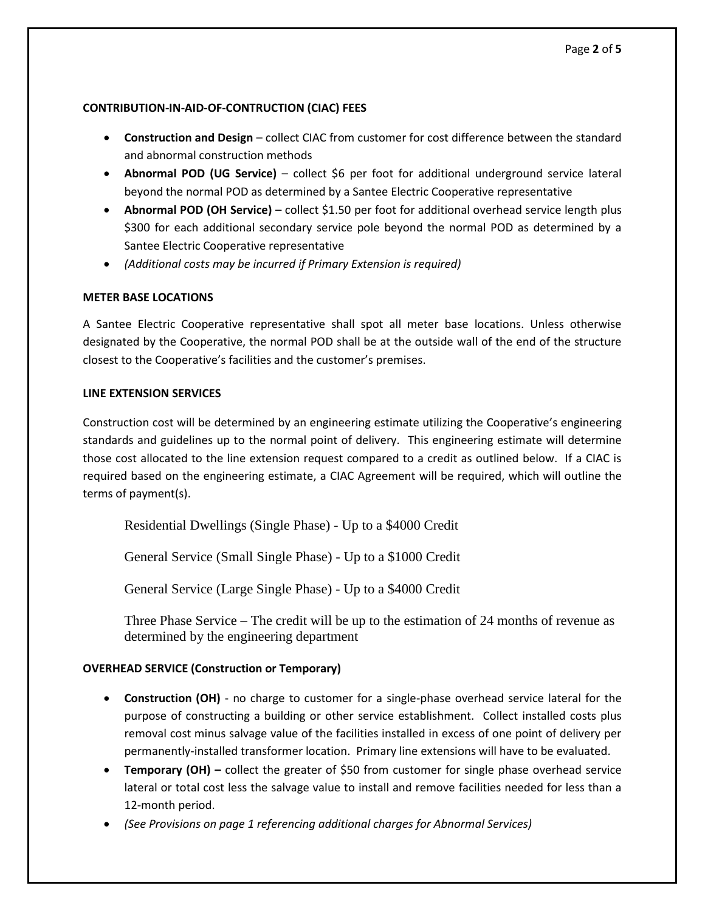# **CONTRIBUTION-IN-AID-OF-CONTRUCTION (CIAC) FEES**

- **Construction and Design** collect CIAC from customer for cost difference between the standard and abnormal construction methods
- **Abnormal POD (UG Service)** collect \$6 per foot for additional underground service lateral beyond the normal POD as determined by a Santee Electric Cooperative representative
- **Abnormal POD (OH Service)**  collect \$1.50 per foot for additional overhead service length plus \$300 for each additional secondary service pole beyond the normal POD as determined by a Santee Electric Cooperative representative
- *(Additional costs may be incurred if Primary Extension is required)*

# **METER BASE LOCATIONS**

A Santee Electric Cooperative representative shall spot all meter base locations. Unless otherwise designated by the Cooperative, the normal POD shall be at the outside wall of the end of the structure closest to the Cooperative's facilities and the customer's premises.

## **LINE EXTENSION SERVICES**

Construction cost will be determined by an engineering estimate utilizing the Cooperative's engineering standards and guidelines up to the normal point of delivery. This engineering estimate will determine those cost allocated to the line extension request compared to a credit as outlined below. If a CIAC is required based on the engineering estimate, a CIAC Agreement will be required, which will outline the terms of payment(s).

Residential Dwellings (Single Phase) - Up to a \$4000 Credit

General Service (Small Single Phase) - Up to a \$1000 Credit

General Service (Large Single Phase) - Up to a \$4000 Credit

Three Phase Service – The credit will be up to the estimation of 24 months of revenue as determined by the engineering department

## **OVERHEAD SERVICE (Construction or Temporary)**

- **Construction (OH)**  no charge to customer for a single-phase overhead service lateral for the purpose of constructing a building or other service establishment. Collect installed costs plus removal cost minus salvage value of the facilities installed in excess of one point of delivery per permanently-installed transformer location. Primary line extensions will have to be evaluated.
- **Temporary (OH) –** collect the greater of \$50 from customer for single phase overhead service lateral or total cost less the salvage value to install and remove facilities needed for less than a 12-month period.
- **(See Provisions on page 1 referencing additional charges for Abnormal Services)**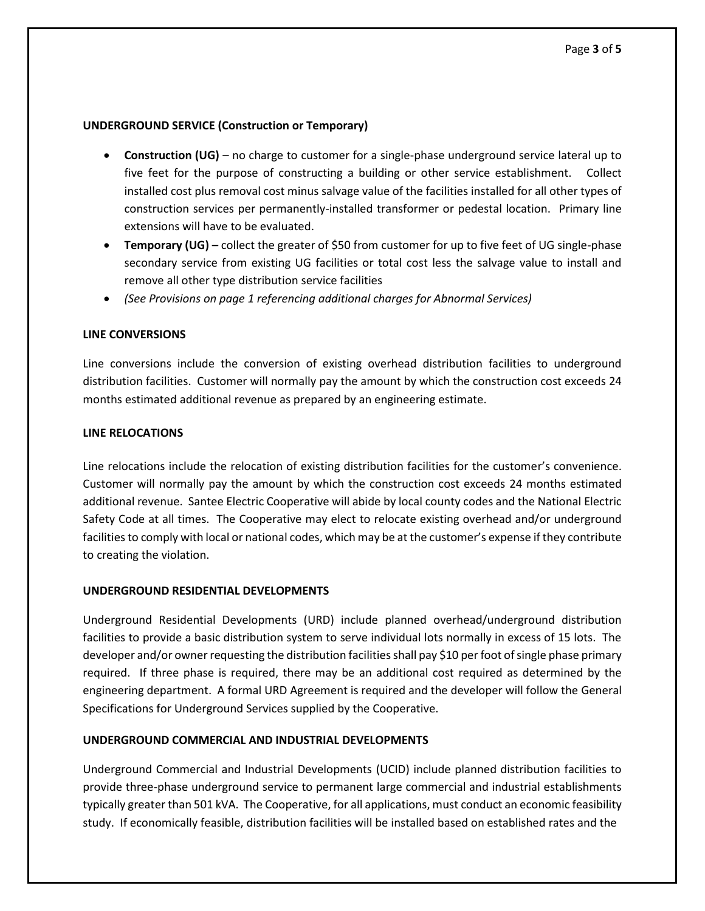#### **UNDERGROUND SERVICE (Construction or Temporary)**

- **Construction (UG)**  no charge to customer for a single-phase underground service lateral up to five feet for the purpose of constructing a building or other service establishment. Collect installed cost plus removal cost minus salvage value of the facilities installed for all other types of construction services per permanently-installed transformer or pedestal location. Primary line extensions will have to be evaluated.
- **Temporary (UG) collect the greater of \$50 from customer for up to five feet of UG single-phase** secondary service from existing UG facilities or total cost less the salvage value to install and remove all other type distribution service facilities
- *(See Provisions on page 1 referencing additional charges for Abnormal Services)*

#### **LINE CONVERSIONS**

Line conversions include the conversion of existing overhead distribution facilities to underground distribution facilities. Customer will normally pay the amount by which the construction cost exceeds 24 months estimated additional revenue as prepared by an engineering estimate.

#### **LINE RELOCATIONS**

Line relocations include the relocation of existing distribution facilities for the customer's convenience. Customer will normally pay the amount by which the construction cost exceeds 24 months estimated additional revenue. Santee Electric Cooperative will abide by local county codes and the National Electric Safety Code at all times. The Cooperative may elect to relocate existing overhead and/or underground facilities to comply with local or national codes, which may be at the customer's expense if they contribute to creating the violation.

#### **UNDERGROUND RESIDENTIAL DEVELOPMENTS**

Underground Residential Developments (URD) include planned overhead/underground distribution facilities to provide a basic distribution system to serve individual lots normally in excess of 15 lots. The developer and/or owner requesting the distribution facilities shall pay \$10 per foot of single phase primary required. If three phase is required, there may be an additional cost required as determined by the engineering department. A formal URD Agreement is required and the developer will follow the General Specifications for Underground Services supplied by the Cooperative.

## **UNDERGROUND COMMERCIAL AND INDUSTRIAL DEVELOPMENTS**

Underground Commercial and Industrial Developments (UCID) include planned distribution facilities to provide three-phase underground service to permanent large commercial and industrial establishments typically greater than 501 kVA. The Cooperative, for all applications, must conduct an economic feasibility study. If economically feasible, distribution facilities will be installed based on established rates and the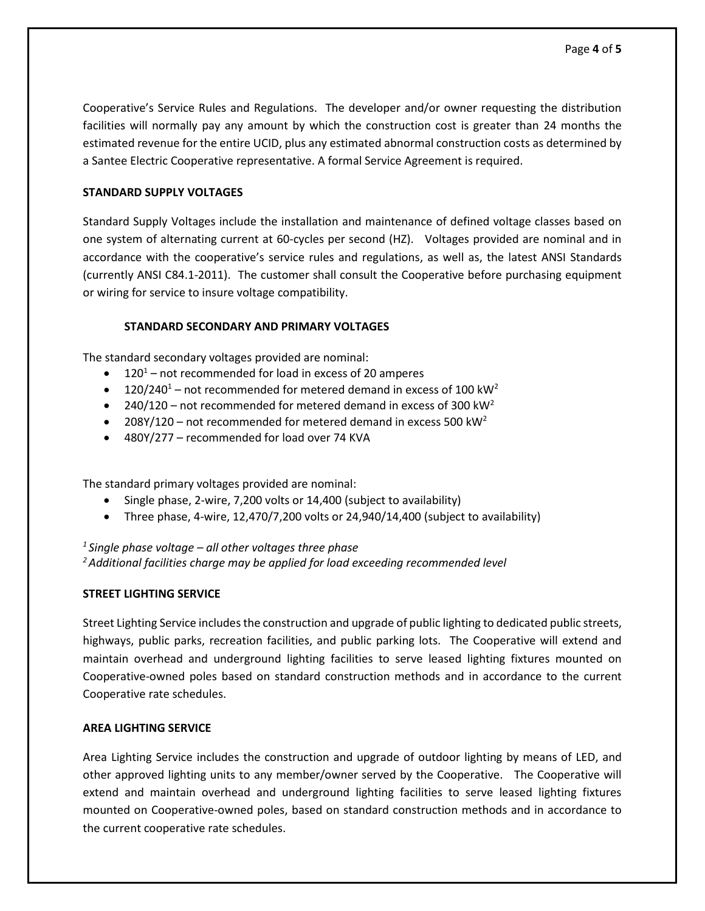Cooperative's Service Rules and Regulations. The developer and/or owner requesting the distribution facilities will normally pay any amount by which the construction cost is greater than 24 months the estimated revenue for the entire UCID, plus any estimated abnormal construction costs as determined by a Santee Electric Cooperative representative. A formal Service Agreement is required.

### **STANDARD SUPPLY VOLTAGES**

Standard Supply Voltages include the installation and maintenance of defined voltage classes based on one system of alternating current at 60-cycles per second (HZ). Voltages provided are nominal and in accordance with the cooperative's service rules and regulations, as well as, the latest ANSI Standards (currently ANSI C84.1-2011). The customer shall consult the Cooperative before purchasing equipment or wiring for service to insure voltage compatibility.

#### **STANDARD SECONDARY AND PRIMARY VOLTAGES**

The standard secondary voltages provided are nominal:

- $\bullet$  120<sup>1</sup> not recommended for load in excess of 20 amperes
- 120/240<sup>1</sup> not recommended for metered demand in excess of 100 kW<sup>2</sup>
- 240/120 not recommended for metered demand in excess of 300 kW<sup>2</sup>
- 208Y/120 not recommended for metered demand in excess 500 kW<sup>2</sup>
- 480Y/277 recommended for load over 74 KVA

The standard primary voltages provided are nominal:

- Single phase, 2-wire, 7,200 volts or 14,400 (subject to availability)
- Three phase, 4-wire, 12,470/7,200 volts or 24,940/14,400 (subject to availability)

*<sup>1</sup>Single phase voltage – all other voltages three phase*

*<sup>2</sup>Additional facilities charge may be applied for load exceeding recommended level*

## **STREET LIGHTING SERVICE**

Street Lighting Service includes the construction and upgrade of public lighting to dedicated public streets, highways, public parks, recreation facilities, and public parking lots. The Cooperative will extend and maintain overhead and underground lighting facilities to serve leased lighting fixtures mounted on Cooperative-owned poles based on standard construction methods and in accordance to the current Cooperative rate schedules.

## **AREA LIGHTING SERVICE**

Area Lighting Service includes the construction and upgrade of outdoor lighting by means of LED, and other approved lighting units to any member/owner served by the Cooperative. The Cooperative will extend and maintain overhead and underground lighting facilities to serve leased lighting fixtures mounted on Cooperative-owned poles, based on standard construction methods and in accordance to the current cooperative rate schedules.